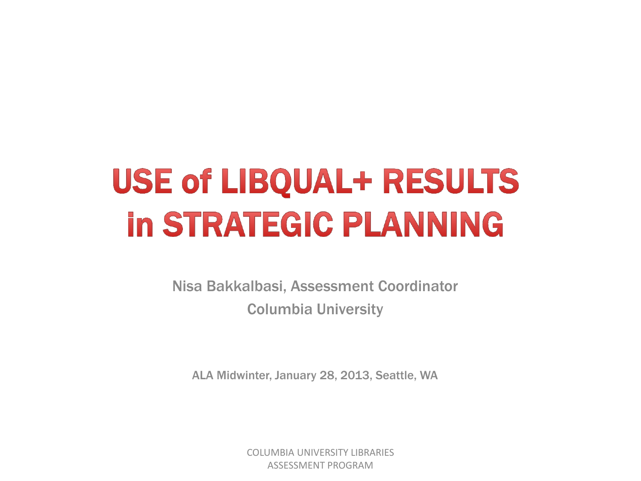# **USE of LIBQUAL+ RESULTS in STRATEGIC PLANNING**

Nisa Bakkalbasi, Assessment Coordinator Columbia University

ALA Midwinter, January 28, 2013, Seattle, WA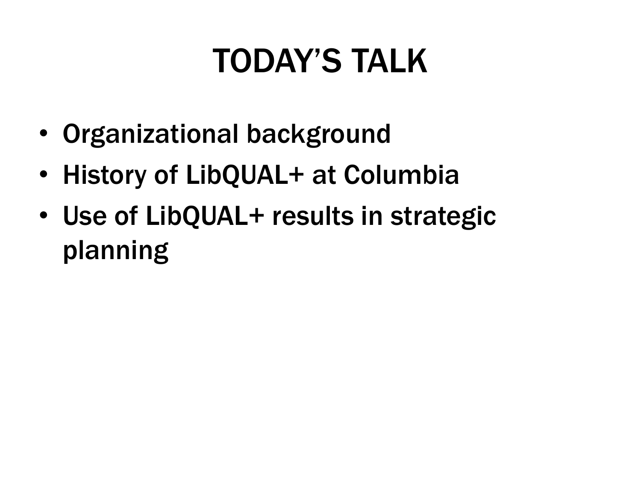## TODAY'S TALK

- Organizational background
- History of LibQUAL+ at Columbia
- Use of LibQUAL+ results in strategic planning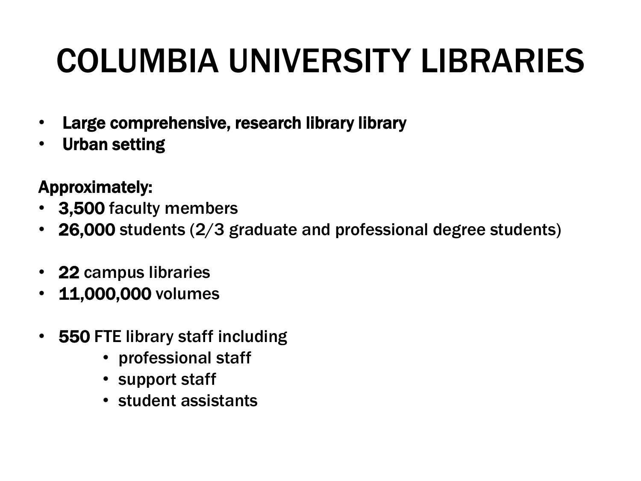# COLUMBIA UNIVERSITY LIBRARIES

- Large comprehensive, research library library
- Urban setting

#### Approximately:

- 3,500 faculty members
- 26,000 students (2/3 graduate and professional degree students)
- 22 campus libraries
- 11,000,000 volumes
- 550 FTE library staff including
	- professional staff
	- support staff
	- student assistants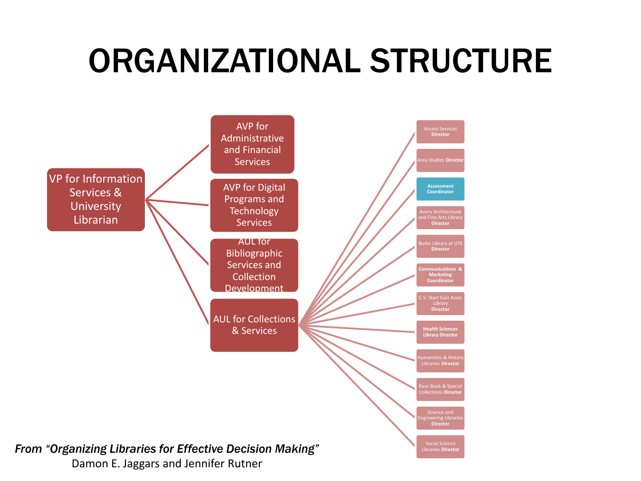#### ORGANIZATIONAL STRUCTURE

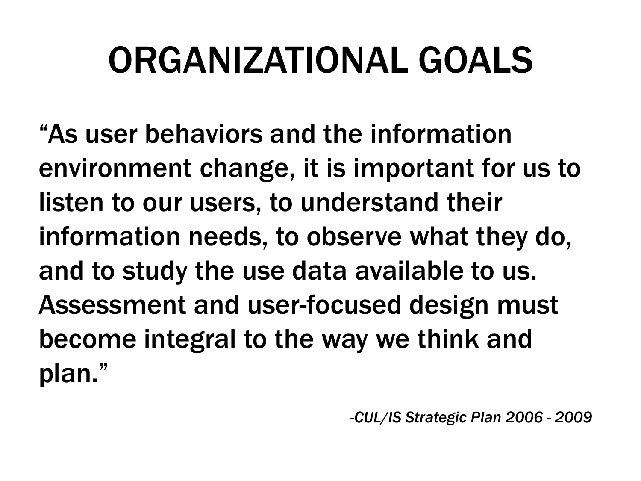# ORGANIZATIONAL GOALS

"As user behaviors and the information environment change, it is important for us to listen to our users, to understand their information needs, to observe what they do, and to study the use data available to us. Assessment and user-focused design must become integral to the way we think and plan."

*-CUL/IS Strategic Plan 2006 - 2009*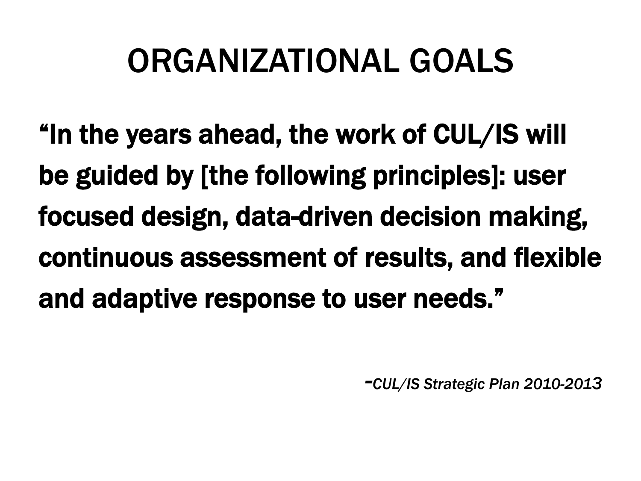## ORGANIZATIONAL GOALS

"In the years ahead, the work of CUL/IS will be guided by [the following principles]: user focused design, data-driven decision making, continuous assessment of results, and flexible and adaptive response to user needs."

*-CUL/IS Strategic Plan 2010-2013*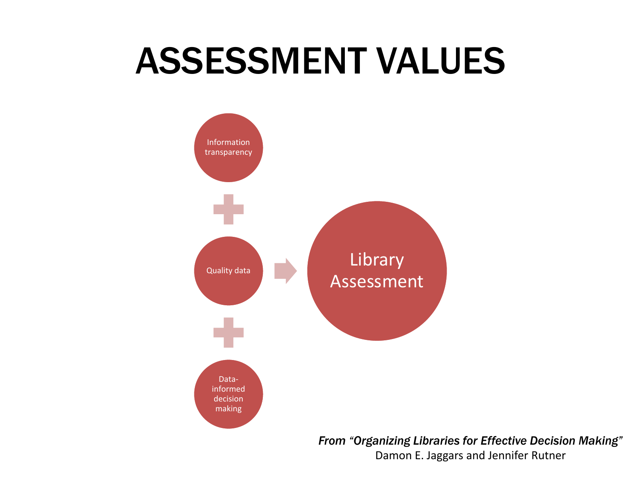## ASSESSMENT VALUES



Damon E. Jaggars and Jennifer Rutner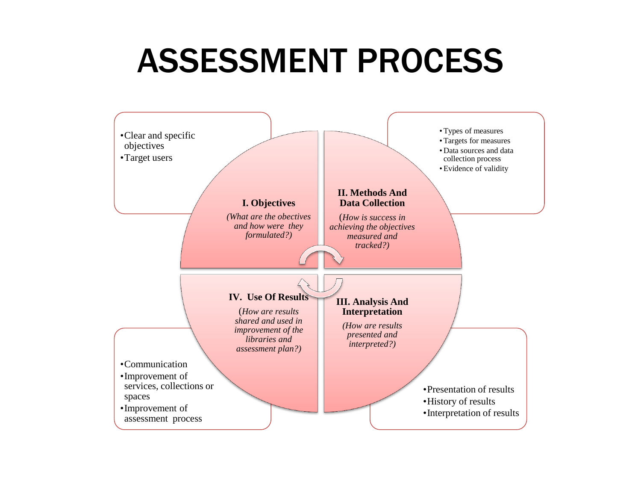#### ASSESSMENT PROCESS

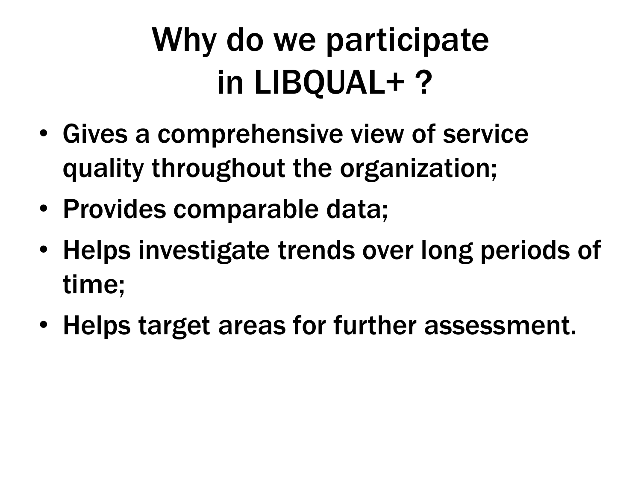# Why do we participate in LIBQUAL+ ?

- Gives a comprehensive view of service quality throughout the organization;
- Provides comparable data;
- Helps investigate trends over long periods of time;
- Helps target areas for further assessment.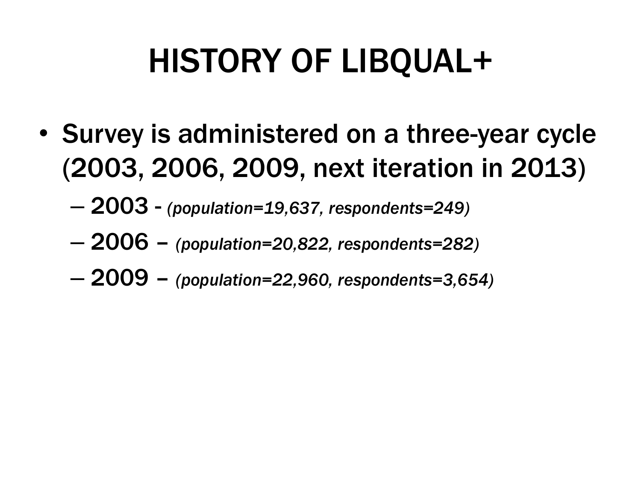## HISTORY OF LIBQUAL+

- Survey is administered on a three-year cycle (2003, 2006, 2009, next iteration in 2013)
	- 2003 *(population=19,637, respondents=249)*
	- 2006 *(population=20,822, respondents=282)*
	- 2009 *(population=22,960, respondents=3,654)*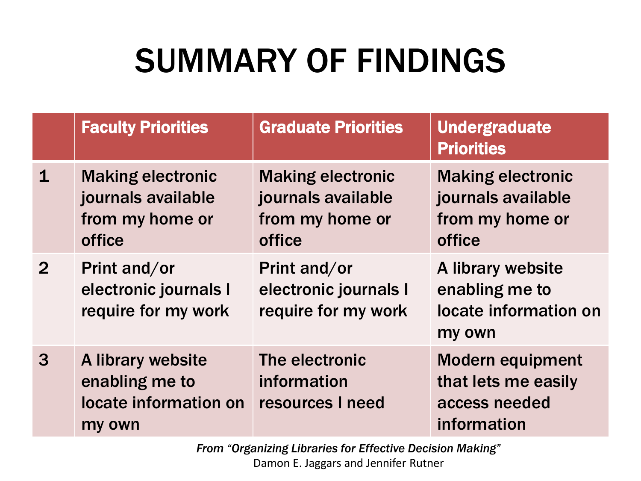## SUMMARY OF FINDINGS

|                | <b>Faculty Priorities</b>                                                   | <b>Graduate Priorities</b>                                                  | <b>Undergraduate</b><br><b>Priorities</b>                                      |
|----------------|-----------------------------------------------------------------------------|-----------------------------------------------------------------------------|--------------------------------------------------------------------------------|
| $\mathbf 1$    | <b>Making electronic</b><br>journals available<br>from my home or<br>office | <b>Making electronic</b><br>journals available<br>from my home or<br>office | <b>Making electronic</b><br>journals available<br>from my home or<br>office    |
| $\overline{2}$ | Print and/or<br>electronic journals I<br>require for my work                | Print and/or<br>electronic journals I<br>require for my work                | A library website<br>enabling me to<br>locate information on<br>my own         |
| 3              | A library website<br>enabling me to<br>locate information on<br>my own      | The electronic<br>information<br>resources I need                           | <b>Modern equipment</b><br>that lets me easily<br>access needed<br>information |

*From "Organizing Libraries for Effective Decision Making"* Damon E. Jaggars and Jennifer Rutner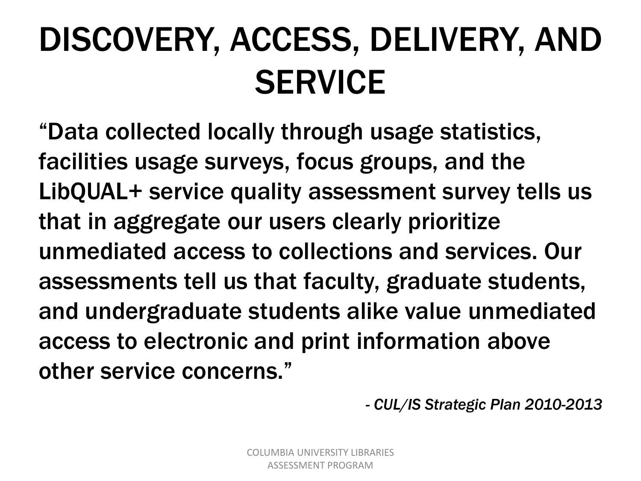# DISCOVERY, ACCESS, DELIVERY, AND **SERVICE**

"Data collected locally through usage statistics, facilities usage surveys, focus groups, and the LibQUAL+ service quality assessment survey tells us that in aggregate our users clearly prioritize unmediated access to collections and services. Our assessments tell us that faculty, graduate students, and undergraduate students alike value unmediated access to electronic and print information above other service concerns."

*- CUL/IS Strategic Plan 2010-2013*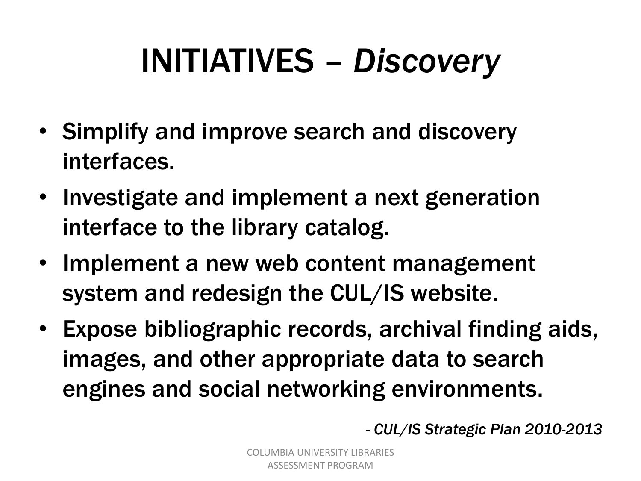# INITIATIVES – *Discovery*

- Simplify and improve search and discovery interfaces.
- Investigate and implement a next generation interface to the library catalog.
- Implement a new web content management system and redesign the CUL/IS website.
- Expose bibliographic records, archival finding aids, images, and other appropriate data to search engines and social networking environments.

*- CUL/IS Strategic Plan 2010-2013*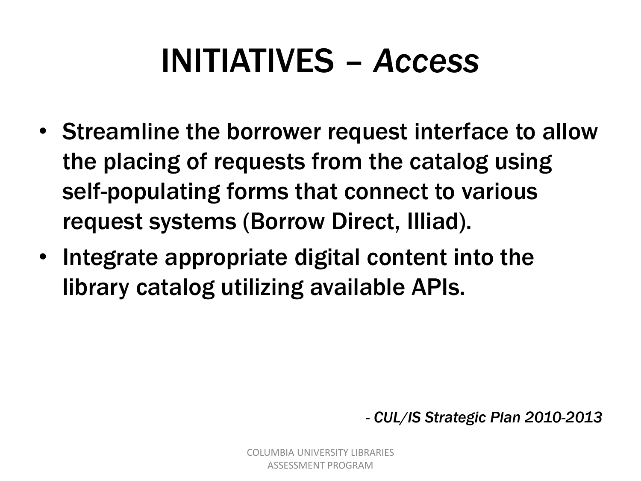## INITIATIVES – *Access*

- Streamline the borrower request interface to allow the placing of requests from the catalog using self-populating forms that connect to various request systems (Borrow Direct, Illiad).
- Integrate appropriate digital content into the library catalog utilizing available APIs.

*- CUL/IS Strategic Plan 2010-2013*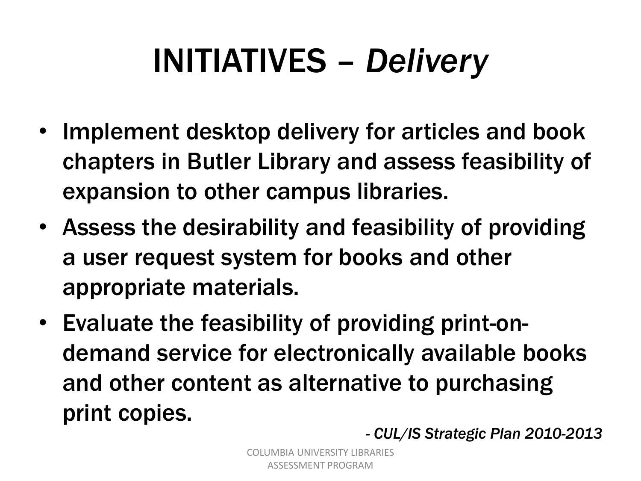## INITIATIVES – *Delivery*

- Implement desktop delivery for articles and book chapters in Butler Library and assess feasibility of expansion to other campus libraries.
- Assess the desirability and feasibility of providing a user request system for books and other appropriate materials.
- Evaluate the feasibility of providing print-ondemand service for electronically available books and other content as alternative to purchasing print copies.

*- CUL/IS Strategic Plan 2010-2013*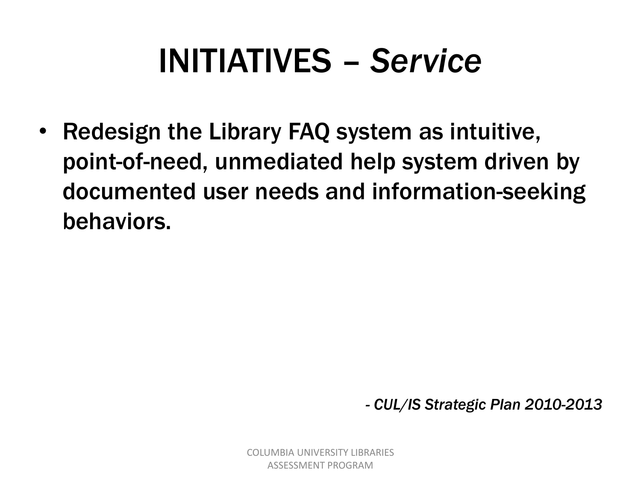#### INITIATIVES – *Service*

• Redesign the Library FAQ system as intuitive, point-of-need, unmediated help system driven by documented user needs and information-seeking behaviors.

*- CUL/IS Strategic Plan 2010-2013*